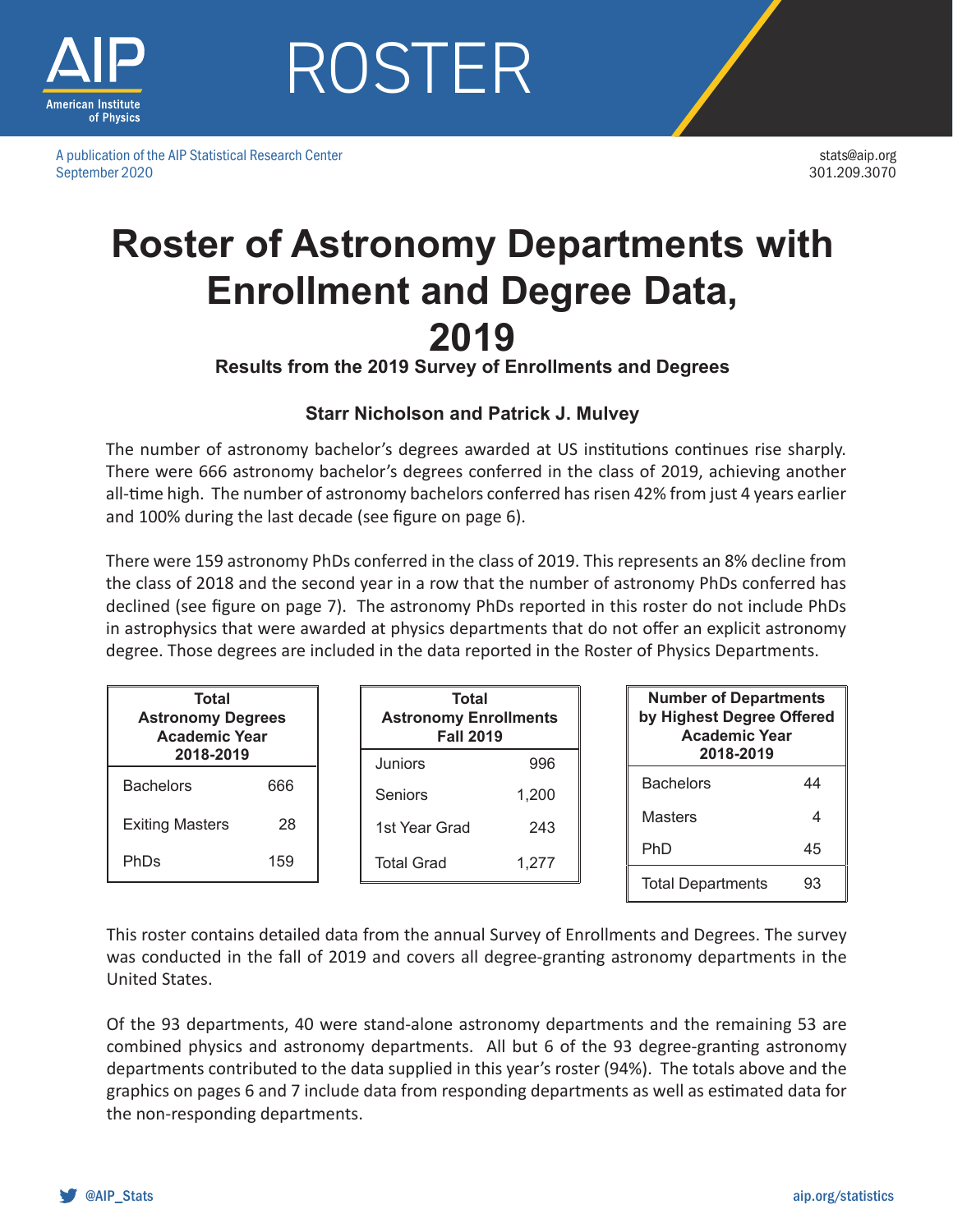

A publication of the AIP Statistical Research Center September 2020

stats@aip.org 301.209.3070

## **Roster of Astronomy Departments with Enrollment and Degree Data, 2019**

**Results from the 2019 Survey of Enrollments and Degrees**

#### **Starr Nicholson and Patrick J. Mulvey**

The number of astronomy bachelor's degrees awarded at US institutions continues rise sharply. There were 666 astronomy bachelor's degrees conferred in the class of 2019, achieving another all-time high. The number of astronomy bachelors conferred has risen 42% from just 4 years earlier and 100% during the last decade (see figure on page 6).

There were 159 astronomy PhDs conferred in the class of 2019. This represents an 8% decline from the class of 2018 and the second year in a row that the number of astronomy PhDs conferred has declined (see figure on page 7). The astronomy PhDs reported in this roster do not include PhDs in astrophysics that were awarded at physics departments that do not offer an explicit astronomy degree. Those degrees are included in the data reported in the Roster of Physics Departments.

| Total<br><b>Astronomy Degrees</b><br><b>Academic Year</b> |     | <b>Total</b><br><b>Astronomy Enrollments</b><br><b>Fall 2019</b> |       | <b>Number of Departments</b><br>by Highest Degree Offered<br><b>Academic Year</b> |                          |    |  |  |
|-----------------------------------------------------------|-----|------------------------------------------------------------------|-------|-----------------------------------------------------------------------------------|--------------------------|----|--|--|
| 2018-2019                                                 |     | Juniors                                                          | 996   |                                                                                   | 2018-2019                |    |  |  |
| <b>Bachelors</b>                                          | 666 | <b>Seniors</b>                                                   | 1.200 |                                                                                   | <b>Bachelors</b>         | 44 |  |  |
| <b>Exiting Masters</b>                                    | 28  | 1st Year Grad                                                    | 243   |                                                                                   | <b>Masters</b>           |    |  |  |
| <b>PhDs</b>                                               | 159 | <b>Total Grad</b>                                                | 1.277 |                                                                                   | <b>PhD</b>               | 45 |  |  |
|                                                           |     |                                                                  |       |                                                                                   | <b>Total Departments</b> | 93 |  |  |

This roster contains detailed data from the annual Survey of Enrollments and Degrees. The survey was conducted in the fall of 2019 and covers all degree-granting astronomy departments in the United States.

Of the 93 departments, 40 were stand-alone astronomy departments and the remaining 53 are combined physics and astronomy departments. All but 6 of the 93 degree-granting astronomy departments contributed to the data supplied in this year's roster (94%). The totals above and the graphics on pages 6 and 7 include data from responding departments as well as estimated data for the non-responding departments.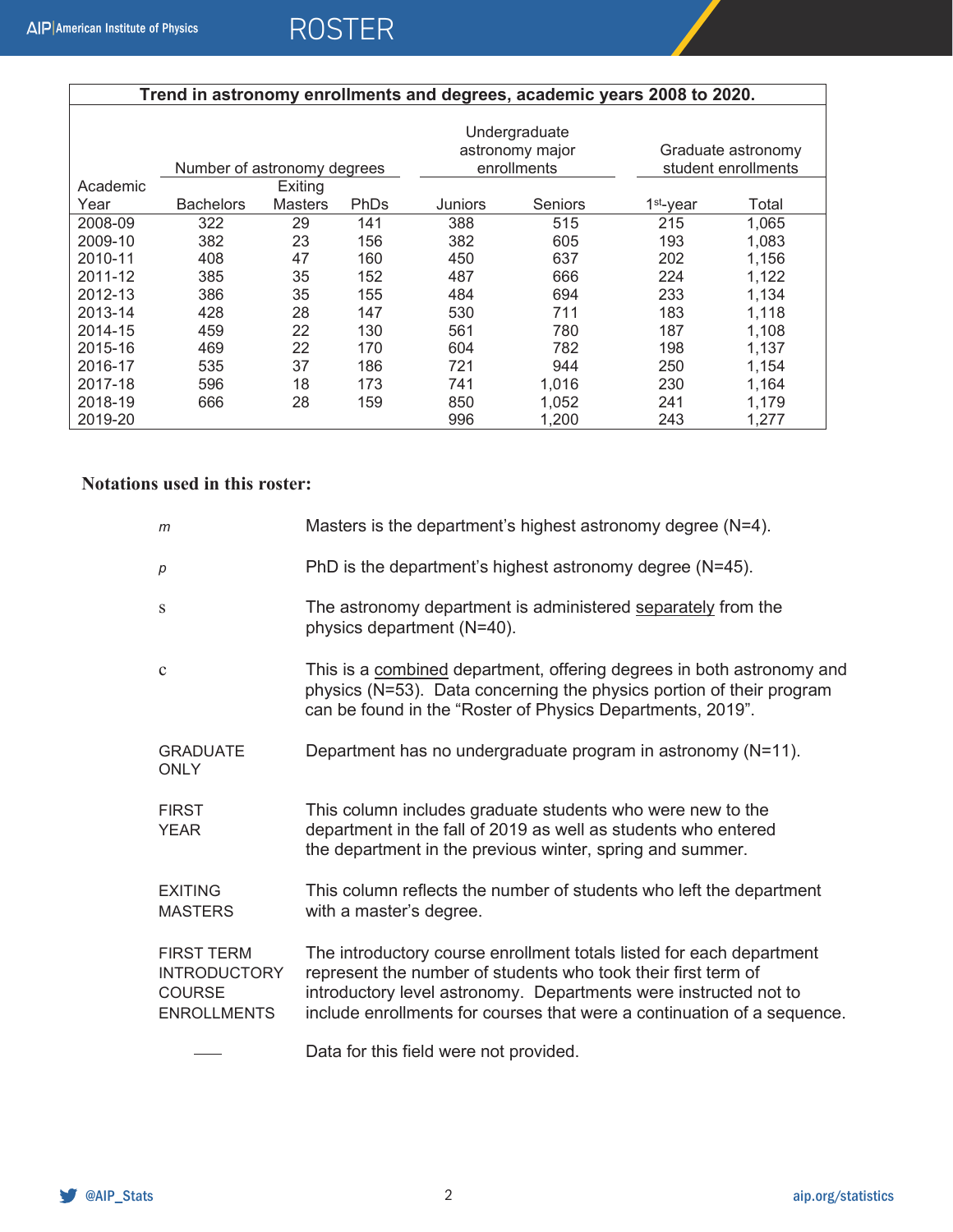| Trend in astronomy enrollments and degrees, academic years 2008 to 2020. |                             |                |             |         |                                                 |                                           |       |  |  |  |  |
|--------------------------------------------------------------------------|-----------------------------|----------------|-------------|---------|-------------------------------------------------|-------------------------------------------|-------|--|--|--|--|
|                                                                          | Number of astronomy degrees |                |             |         | Undergraduate<br>astronomy major<br>enrollments | Graduate astronomy<br>student enrollments |       |  |  |  |  |
| Academic                                                                 |                             | Exiting        |             |         |                                                 |                                           |       |  |  |  |  |
| Year                                                                     | <b>Bachelors</b>            | <b>Masters</b> | <b>PhDs</b> | Juniors | Seniors                                         | 1 <sup>st</sup> -year                     | Total |  |  |  |  |
| 2008-09                                                                  | 322                         | 29             | 141         | 388     | 515                                             | 215                                       | 1,065 |  |  |  |  |
| 2009-10                                                                  | 382                         | 23             | 156         | 382     | 605                                             | 193                                       | 1,083 |  |  |  |  |
| 2010-11                                                                  | 408                         | 47             | 160         | 450     | 637                                             | 202                                       | 1,156 |  |  |  |  |
| 2011-12                                                                  | 385                         | 35             | 152         | 487     | 666                                             | 224                                       | 1,122 |  |  |  |  |
| 2012-13                                                                  | 386                         | 35             | 155         | 484     | 694                                             | 233                                       | 1,134 |  |  |  |  |
| 2013-14                                                                  | 428                         | 28             | 147         | 530     | 711                                             | 183                                       | 1,118 |  |  |  |  |
| 2014-15                                                                  | 459                         | 22             | 130         | 561     | 780                                             | 187                                       | 1,108 |  |  |  |  |
| 2015-16                                                                  | 469                         | 22             | 170         | 604     | 782                                             | 198                                       | 1,137 |  |  |  |  |
| 2016-17                                                                  | 535                         | 37             | 186         | 721     | 944                                             | 250                                       | 1,154 |  |  |  |  |
| 2017-18                                                                  | 596                         | 18             | 173         | 741     | 1,016                                           | 230                                       | 1,164 |  |  |  |  |
| 2018-19                                                                  | 666                         | 28             | 159         | 850     | 1,052                                           | 241                                       | 1,179 |  |  |  |  |
| 2019-20                                                                  |                             |                |             | 996     | 1,200                                           | 243                                       | 1,277 |  |  |  |  |

#### **Notations used in this roster:**

| m                                                                               | Masters is the department's highest astronomy degree $(N=4)$ .                                                                                                                                                                                                                       |
|---------------------------------------------------------------------------------|--------------------------------------------------------------------------------------------------------------------------------------------------------------------------------------------------------------------------------------------------------------------------------------|
| p                                                                               | PhD is the department's highest astronomy degree (N=45).                                                                                                                                                                                                                             |
| S                                                                               | The astronomy department is administered separately from the<br>physics department (N=40).                                                                                                                                                                                           |
| $\mathbf{C}$                                                                    | This is a combined department, offering degrees in both astronomy and<br>physics (N=53). Data concerning the physics portion of their program<br>can be found in the "Roster of Physics Departments, 2019".                                                                          |
| <b>GRADUATE</b><br><b>ONLY</b>                                                  | Department has no undergraduate program in astronomy (N=11).                                                                                                                                                                                                                         |
| <b>FIRST</b><br><b>YEAR</b>                                                     | This column includes graduate students who were new to the<br>department in the fall of 2019 as well as students who entered<br>the department in the previous winter, spring and summer.                                                                                            |
| <b>EXITING</b><br><b>MASTERS</b>                                                | This column reflects the number of students who left the department<br>with a master's degree.                                                                                                                                                                                       |
| <b>FIRST TERM</b><br><b>INTRODUCTORY</b><br><b>COURSE</b><br><b>ENROLLMENTS</b> | The introductory course enrollment totals listed for each department<br>represent the number of students who took their first term of<br>introductory level astronomy. Departments were instructed not to<br>include enrollments for courses that were a continuation of a sequence. |
|                                                                                 | Data for this field were not provided.                                                                                                                                                                                                                                               |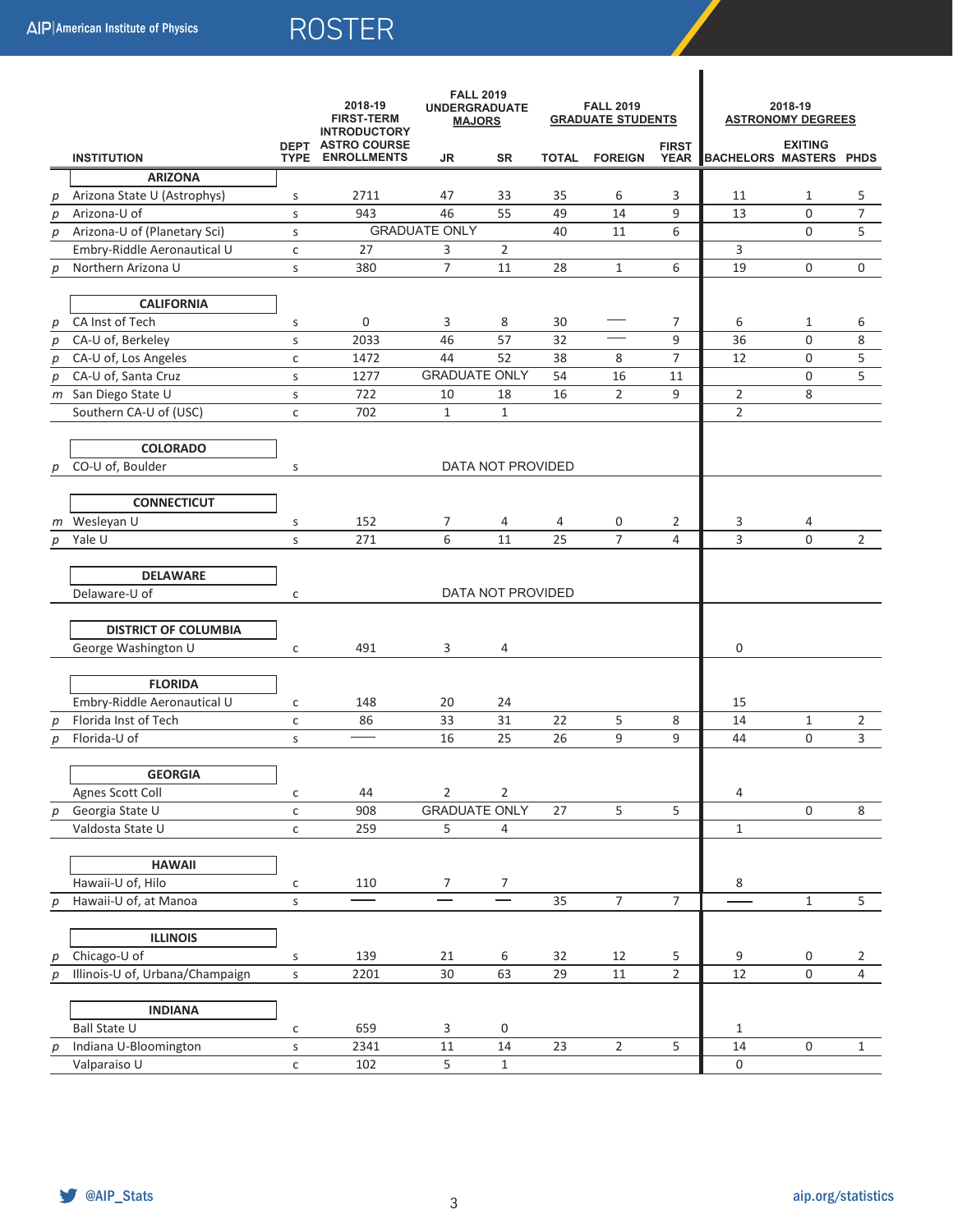| <b>INSTITUTION</b> |                                 | <b>FALL 2019</b><br>2018-19<br><b>UNDERGRADUATE</b><br><b>FIRST-TERM</b><br><b>MAJORS</b><br><b>INTRODUCTORY</b><br><b>DEPT ASTRO COURSE</b><br><b>ENROLLMENTS</b><br><b>TYPE</b><br>JR |      | SR                   | <b>FALL 2019</b><br><b>GRADUATE STUDENTS</b><br><b>FIRST</b><br><b>TOTAL</b><br><b>FOREIGN</b> |    |                | 2018-19<br><b>ASTRONOMY DEGREES</b><br><b>EXITING</b><br><b>BACHELORS MASTERS PHDS</b> |                |                     |                |
|--------------------|---------------------------------|-----------------------------------------------------------------------------------------------------------------------------------------------------------------------------------------|------|----------------------|------------------------------------------------------------------------------------------------|----|----------------|----------------------------------------------------------------------------------------|----------------|---------------------|----------------|
|                    | <b>ARIZONA</b>                  |                                                                                                                                                                                         |      |                      |                                                                                                |    |                | <b>YEAR</b>                                                                            |                |                     |                |
| р                  | Arizona State U (Astrophys)     | S                                                                                                                                                                                       | 2711 | 47                   | 33                                                                                             | 35 | 6              | 3                                                                                      | 11             | 1                   | 5              |
| p                  | Arizona-U of                    | S                                                                                                                                                                                       | 943  | 46                   | 55                                                                                             | 49 | 14             | 9                                                                                      | 13             | 0                   | 7              |
| p                  | Arizona-U of (Planetary Sci)    | s                                                                                                                                                                                       |      | <b>GRADUATE ONLY</b> |                                                                                                | 40 | 11             | 6                                                                                      |                | 0                   | 5              |
|                    | Embry-Riddle Aeronautical U     | $\mathsf C$                                                                                                                                                                             | 27   | 3                    | $\overline{2}$                                                                                 |    |                |                                                                                        | 3              |                     |                |
| p                  | Northern Arizona U              | S                                                                                                                                                                                       | 380  | $\overline{7}$       | 11                                                                                             | 28 | $\mathbf{1}$   | 6                                                                                      | 19             | 0                   | 0              |
|                    |                                 |                                                                                                                                                                                         |      |                      |                                                                                                |    |                |                                                                                        |                |                     |                |
|                    | <b>CALIFORNIA</b>               |                                                                                                                                                                                         |      |                      |                                                                                                |    |                |                                                                                        |                |                     |                |
| р                  | CA Inst of Tech                 | S                                                                                                                                                                                       | 0    | 3                    | 8                                                                                              | 30 |                | 7                                                                                      | 6              | $\mathbf{1}$        | 6              |
| p                  | CA-U of, Berkeley               | S                                                                                                                                                                                       | 2033 | 46                   | 57                                                                                             | 32 |                | 9                                                                                      | 36             | 0                   | 8              |
| $\boldsymbol{p}$   | CA-U of, Los Angeles            | $\mathsf{C}$                                                                                                                                                                            | 1472 | 44                   | 52                                                                                             | 38 | 8              | $\overline{7}$                                                                         | 12             | 0                   | 5              |
| p                  | CA-U of, Santa Cruz             | S                                                                                                                                                                                       | 1277 | <b>GRADUATE ONLY</b> |                                                                                                | 54 | 16             | 11                                                                                     |                | 0                   | 5              |
|                    | m San Diego State U             | S                                                                                                                                                                                       | 722  | 10                   | 18                                                                                             | 16 | $\overline{2}$ | 9                                                                                      | $\overline{2}$ | 8                   |                |
|                    | Southern CA-U of (USC)          | $\mathsf C$                                                                                                                                                                             | 702  | $\mathbf{1}$         | $\mathbf{1}$                                                                                   |    |                |                                                                                        | $\overline{2}$ |                     |                |
|                    |                                 |                                                                                                                                                                                         |      |                      |                                                                                                |    |                |                                                                                        |                |                     |                |
|                    | <b>COLORADO</b>                 |                                                                                                                                                                                         |      |                      |                                                                                                |    |                |                                                                                        |                |                     |                |
| р                  | CO-U of, Boulder                | S                                                                                                                                                                                       |      |                      | DATA NOT PROVIDED                                                                              |    |                |                                                                                        |                |                     |                |
|                    | <b>CONNECTICUT</b>              |                                                                                                                                                                                         |      |                      |                                                                                                |    |                |                                                                                        |                |                     |                |
| m                  | Wesleyan U                      | s                                                                                                                                                                                       | 152  | 7                    | 4                                                                                              | 4  | 0              | 2                                                                                      | 3              | 4                   |                |
| р                  | Yale U                          | S                                                                                                                                                                                       | 271  | 6                    | 11                                                                                             | 25 | $\overline{7}$ | 4                                                                                      | 3              | $\Omega$            | $\overline{2}$ |
|                    |                                 |                                                                                                                                                                                         |      |                      |                                                                                                |    |                |                                                                                        |                |                     |                |
|                    | <b>DELAWARE</b>                 |                                                                                                                                                                                         |      |                      |                                                                                                |    |                |                                                                                        |                |                     |                |
|                    | Delaware-U of                   | $\mathsf{C}$                                                                                                                                                                            |      |                      | DATA NOT PROVIDED                                                                              |    |                |                                                                                        |                |                     |                |
|                    |                                 |                                                                                                                                                                                         |      |                      |                                                                                                |    |                |                                                                                        |                |                     |                |
|                    | <b>DISTRICT OF COLUMBIA</b>     |                                                                                                                                                                                         |      |                      |                                                                                                |    |                |                                                                                        |                |                     |                |
|                    | George Washington U             | $\mathsf{C}$                                                                                                                                                                            | 491  | 3                    | 4                                                                                              |    |                |                                                                                        | 0              |                     |                |
|                    |                                 |                                                                                                                                                                                         |      |                      |                                                                                                |    |                |                                                                                        |                |                     |                |
|                    | <b>FLORIDA</b>                  |                                                                                                                                                                                         |      |                      |                                                                                                |    |                |                                                                                        |                |                     |                |
|                    | Embry-Riddle Aeronautical U     | $\mathsf{C}$                                                                                                                                                                            | 148  | 20                   | 24                                                                                             |    |                |                                                                                        | 15             |                     |                |
| р                  | Florida Inst of Tech            | $\mathsf{C}$                                                                                                                                                                            | 86   | 33                   | 31                                                                                             | 22 | 5              | 8                                                                                      | 14             | $\mathbf{1}$        | 2              |
| р                  | Florida-U of                    | S                                                                                                                                                                                       |      | 16                   | 25                                                                                             | 26 | 9              | 9                                                                                      | 44             | 0                   | 3              |
|                    | <b>GEORGIA</b>                  |                                                                                                                                                                                         |      |                      |                                                                                                |    |                |                                                                                        |                |                     |                |
|                    | Agnes Scott Coll                |                                                                                                                                                                                         | 44   | $\overline{2}$       | 2                                                                                              |    |                |                                                                                        |                |                     |                |
|                    | Georgia State U                 | $\mathsf{C}$<br>$\mathsf{C}$                                                                                                                                                            | 908  | <b>GRADUATE ONLY</b> |                                                                                                | 27 | $\overline{5}$ | 5                                                                                      | 4              | $\mathsf{O}\xspace$ | 8              |
| $p_{\parallel}$    | Valdosta State U                | $\mathsf{C}$                                                                                                                                                                            | 259  | 5                    | 4                                                                                              |    |                |                                                                                        | $\mathbf{1}$   |                     |                |
|                    |                                 |                                                                                                                                                                                         |      |                      |                                                                                                |    |                |                                                                                        |                |                     |                |
|                    | <b>HAWAII</b>                   |                                                                                                                                                                                         |      |                      |                                                                                                |    |                |                                                                                        |                |                     |                |
|                    | Hawaii-U of, Hilo               | $\mathsf{C}$                                                                                                                                                                            | 110  | 7                    | 7                                                                                              |    |                |                                                                                        | 8              |                     |                |
| p                  | Hawaii-U of, at Manoa           | $\sf S$                                                                                                                                                                                 |      |                      |                                                                                                | 35 | $\overline{7}$ | $\overline{7}$                                                                         |                | $\mathbf 1$         | 5              |
|                    |                                 |                                                                                                                                                                                         |      |                      |                                                                                                |    |                |                                                                                        |                |                     |                |
|                    | <b>ILLINOIS</b>                 |                                                                                                                                                                                         |      |                      |                                                                                                |    |                |                                                                                        |                |                     |                |
| р                  | Chicago-U of                    | S                                                                                                                                                                                       | 139  | 21                   | 6                                                                                              | 32 | 12             | 5                                                                                      | 9              | 0                   | $\overline{2}$ |
| р                  | Illinois-U of, Urbana/Champaign | S                                                                                                                                                                                       | 2201 | 30                   | 63                                                                                             | 29 | 11             | $\overline{2}$                                                                         | 12             | $\mathsf 0$         | $\overline{4}$ |
|                    |                                 |                                                                                                                                                                                         |      |                      |                                                                                                |    |                |                                                                                        |                |                     |                |
|                    | <b>INDIANA</b>                  |                                                                                                                                                                                         |      |                      |                                                                                                |    |                |                                                                                        |                |                     |                |
|                    | <b>Ball State U</b>             | $\mathsf{C}$                                                                                                                                                                            | 659  | 3                    | 0                                                                                              |    |                |                                                                                        | $\mathbf{1}$   |                     |                |
| р                  | Indiana U-Bloomington           | $\sf S$                                                                                                                                                                                 | 2341 | $11\,$               | $14\,$                                                                                         | 23 | $\overline{2}$ | 5                                                                                      | 14             | $\mathbf 0$         | $\mathbf{1}$   |
|                    | Valparaiso U                    | $\mathsf{C}$                                                                                                                                                                            | 102  | 5                    | $\mathbf 1$                                                                                    |    |                |                                                                                        | $\pmb{0}$      |                     |                |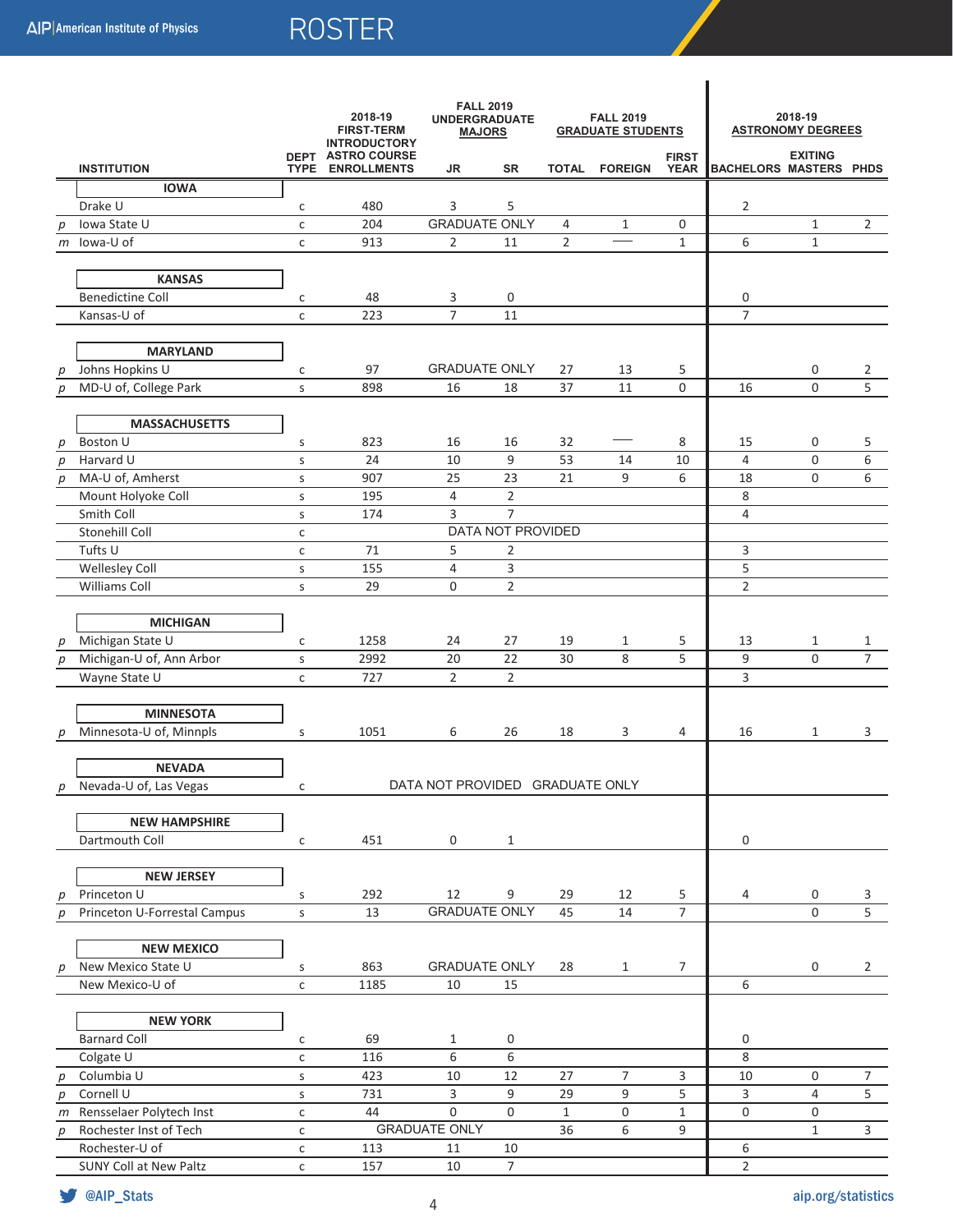|   |                              |              | 2018-19<br><b>FIRST-TERM</b><br><b>INTRODUCTORY</b> | <b>FALL 2019</b><br><b>UNDERGRADUATE</b><br><b>MAJORS</b> |                          | <b>FALL 2019</b><br><b>GRADUATE STUDENTS</b> |                      |                             | 2018-19<br><b>ASTRONOMY DEGREES</b> |                |                                |  |
|---|------------------------------|--------------|-----------------------------------------------------|-----------------------------------------------------------|--------------------------|----------------------------------------------|----------------------|-----------------------------|-------------------------------------|----------------|--------------------------------|--|
|   | <b>INSTITUTION</b>           |              | <b>DEPT ASTRO COURSE</b><br>TYPE ENROLLMENTS        | JR                                                        | <b>SR</b>                |                                              | <b>TOTAL FOREIGN</b> | <b>FIRST</b><br><b>YEAR</b> | <b>BACHELORS MASTERS PHDS</b>       | <b>EXITING</b> |                                |  |
|   | <b>IOWA</b>                  |              |                                                     |                                                           |                          |                                              |                      |                             |                                     |                |                                |  |
|   | Drake U                      | c            | 480                                                 | 3                                                         | 5                        |                                              |                      |                             | 2                                   |                |                                |  |
| р | Iowa State U                 | $\mathsf{C}$ | 204                                                 | <b>GRADUATE ONLY</b>                                      |                          | 4                                            | $\mathbf{1}$         | 0                           |                                     | $\mathbf{1}$   | 2                              |  |
|   | $m$ lowa-U of                | $\mathsf{C}$ | 913                                                 | 2                                                         | 11                       | $\overline{2}$                               |                      | $\mathbf{1}$                | 6                                   | $\mathbf 1$    |                                |  |
|   |                              |              |                                                     |                                                           |                          |                                              |                      |                             |                                     |                |                                |  |
|   | <b>KANSAS</b>                |              |                                                     |                                                           |                          |                                              |                      |                             |                                     |                |                                |  |
|   | <b>Benedictine Coll</b>      | $\mathsf{C}$ | 48                                                  | 3                                                         | 0                        |                                              |                      |                             | 0                                   |                |                                |  |
|   | Kansas-U of                  | $\mathsf{C}$ | 223                                                 | $\overline{7}$                                            | 11                       |                                              |                      |                             | $\overline{7}$                      |                |                                |  |
|   |                              |              |                                                     |                                                           |                          |                                              |                      |                             |                                     |                |                                |  |
|   | <b>MARYLAND</b>              |              |                                                     |                                                           |                          |                                              |                      |                             |                                     |                |                                |  |
| р | Johns Hopkins U              | с            | 97                                                  | <b>GRADUATE ONLY</b>                                      |                          | 27                                           | 13                   | 5                           |                                     | 0              | 2                              |  |
| p | MD-U of, College Park        | $\sf S$      | 898                                                 | 16                                                        | 18                       | 37                                           | 11                   | 0                           | 16                                  | 0              | 5                              |  |
|   |                              |              |                                                     |                                                           |                          |                                              |                      |                             |                                     |                |                                |  |
|   | <b>MASSACHUSETTS</b>         |              |                                                     |                                                           |                          |                                              |                      |                             |                                     |                |                                |  |
| р | Boston U                     | $\sf S$      | 823                                                 | 16                                                        | 16                       | 32                                           |                      | 8                           | 15                                  | 0              | 5                              |  |
| р | Harvard U                    | S            | 24                                                  | 10                                                        | 9                        | 53                                           | 14                   | 10                          | $\overline{4}$                      | $\mathbf 0$    | 6                              |  |
| р | MA-U of, Amherst             | $\sf S$      | 907                                                 | 25                                                        | 23                       | 21                                           | 9                    | 6                           | 18                                  | 0              | 6                              |  |
|   | Mount Holyoke Coll           | S            | 195                                                 | 4                                                         | $\overline{2}$           |                                              |                      |                             | 8                                   |                |                                |  |
|   | Smith Coll                   | S            | 174                                                 | 3                                                         | $\overline{7}$           |                                              |                      |                             | 4                                   |                |                                |  |
|   | Stonehill Coll               | $\mathsf{C}$ |                                                     |                                                           | <b>DATA NOT PROVIDED</b> |                                              |                      |                             |                                     |                |                                |  |
|   | Tufts U                      | $\mathsf{C}$ | 71                                                  | 5                                                         | $\overline{2}$           |                                              |                      |                             | 3                                   |                |                                |  |
|   | <b>Wellesley Coll</b>        | $\sf S$      | 155                                                 | 4                                                         | 3                        |                                              |                      |                             | 5                                   |                |                                |  |
|   | Williams Coll                | S            | 29                                                  | 0                                                         | $\overline{2}$           |                                              |                      |                             | $\overline{2}$                      |                |                                |  |
|   |                              |              |                                                     |                                                           |                          |                                              |                      |                             |                                     |                |                                |  |
|   | <b>MICHIGAN</b>              |              |                                                     |                                                           |                          |                                              |                      |                             |                                     |                |                                |  |
| p | Michigan State U             | с            | 1258<br>2992                                        | 24<br>20                                                  | 27<br>22                 | 19<br>30                                     | 1<br>8               | 5<br>5                      | 13                                  | 1<br>0         | $\mathbf{1}$<br>$\overline{7}$ |  |
| p | Michigan-U of, Ann Arbor     | $\sf S$      |                                                     | $\overline{2}$                                            | $\overline{2}$           |                                              |                      |                             | 9                                   |                |                                |  |
|   | Wayne State U                | $\mathsf{C}$ | 727                                                 |                                                           |                          |                                              |                      |                             | 3                                   |                |                                |  |
|   | <b>MINNESOTA</b>             |              |                                                     |                                                           |                          |                                              |                      |                             |                                     |                |                                |  |
|   | Minnesota-U of, Minnpls      | S            | 1051                                                | 6                                                         | 26                       | 18                                           | 3                    | 4                           | 16                                  | $\mathbf{1}$   | 3                              |  |
| р |                              |              |                                                     |                                                           |                          |                                              |                      |                             |                                     |                |                                |  |
|   | <b>NEVADA</b>                |              |                                                     |                                                           |                          |                                              |                      |                             |                                     |                |                                |  |
| р | Nevada-U of, Las Vegas       | с            |                                                     | DATA NOT PROVIDED GRADUATE ONLY                           |                          |                                              |                      |                             |                                     |                |                                |  |
|   |                              |              |                                                     |                                                           |                          |                                              |                      |                             |                                     |                |                                |  |
|   | <b>NEW HAMPSHIRE</b>         |              |                                                     |                                                           |                          |                                              |                      |                             |                                     |                |                                |  |
|   | Dartmouth Coll               | с            | 451                                                 | $\mathsf{O}$                                              | $\mathbf{1}$             |                                              |                      |                             | $\mathbf 0$                         |                |                                |  |
|   |                              |              |                                                     |                                                           |                          |                                              |                      |                             |                                     |                |                                |  |
|   | <b>NEW JERSEY</b>            |              |                                                     |                                                           |                          |                                              |                      |                             |                                     |                |                                |  |
| р | Princeton U                  | S            | 292                                                 | 12                                                        | 9                        | 29                                           | 12                   | 5                           | $\overline{4}$                      | 0              | 3                              |  |
| p | Princeton U-Forrestal Campus | $\mathsf{s}$ | 13                                                  | <b>GRADUATE ONLY</b>                                      |                          | 45                                           | 14                   | $\overline{7}$              |                                     | $\Omega$       | $\overline{5}$                 |  |
|   |                              |              |                                                     |                                                           |                          |                                              |                      |                             |                                     |                |                                |  |
|   | <b>NEW MEXICO</b>            |              |                                                     |                                                           |                          |                                              |                      |                             |                                     |                |                                |  |
| р | New Mexico State U           | S            | 863                                                 | <b>GRADUATE ONLY</b>                                      |                          | 28                                           | $\mathbf{1}$         | $\overline{7}$              |                                     | 0              | $\mathbf{2}$                   |  |
|   | New Mexico-U of              | $\mathsf{C}$ | 1185                                                | 10                                                        | 15                       |                                              |                      |                             | 6                                   |                |                                |  |
|   |                              |              |                                                     |                                                           |                          |                                              |                      |                             |                                     |                |                                |  |
|   | <b>NEW YORK</b>              |              |                                                     |                                                           |                          |                                              |                      |                             |                                     |                |                                |  |
|   | <b>Barnard Coll</b>          | $\mathsf{C}$ | 69                                                  | $\mathbf{1}$                                              | 0                        |                                              |                      |                             | 0                                   |                |                                |  |
|   | Colgate U                    | $\mathsf{C}$ | 116                                                 | 6                                                         | 6                        |                                              |                      |                             | 8                                   |                |                                |  |
| р | Columbia U                   | $\sf S$      | 423                                                 | 10                                                        | 12                       | 27                                           | $\overline{7}$       | 3                           | 10                                  | 0              | $\overline{7}$                 |  |
| р | Cornell U                    | $\sf S$      | 731                                                 | 3                                                         | 9                        | 29                                           | 9                    | 5                           | 3                                   | 4              | $5\phantom{.0}$                |  |
|   | m Rensselaer Polytech Inst   | $\mathsf{C}$ | 44                                                  | $\mathsf{O}\xspace$                                       | $\mathsf{O}\xspace$      | $\mathbf{1}$                                 | 0                    | $\mathbf{1}$                | $\mathbf 0$                         | 0              |                                |  |
| р | Rochester Inst of Tech       | $\mathsf{C}$ |                                                     | <b>GRADUATE ONLY</b>                                      |                          | 36                                           | 6                    | 9                           |                                     | $\mathbf{1}$   | 3                              |  |
|   | Rochester-U of               | $\mathsf{C}$ | 113                                                 | 11                                                        | 10                       |                                              |                      |                             | 6                                   |                |                                |  |
|   | SUNY Coll at New Paltz       | $\mathsf{C}$ | 157                                                 | $10\,$                                                    | $\overline{7}$           |                                              |                      |                             | $\overline{2}$                      |                |                                |  |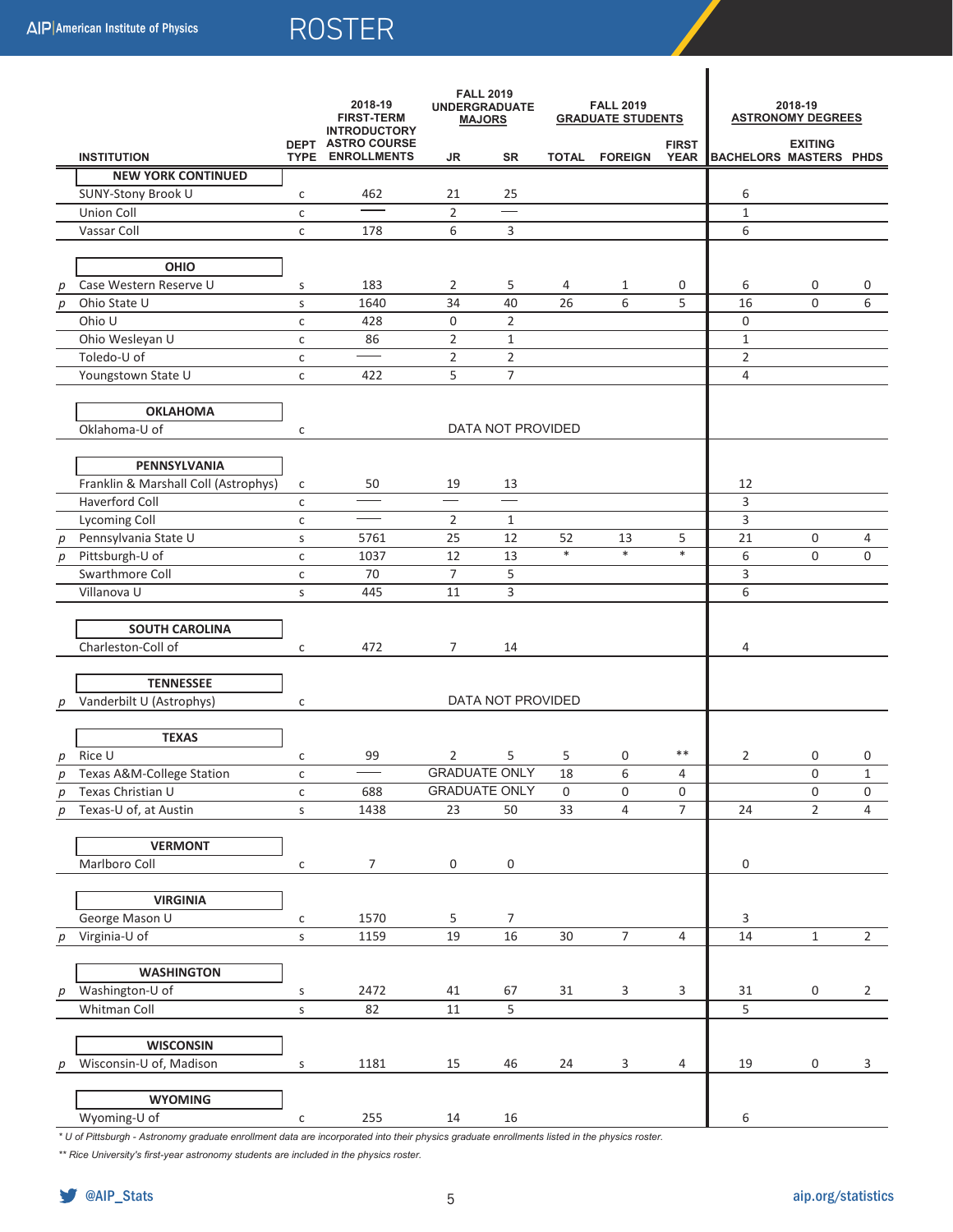|                  |                                      | 2018-19<br><b>FIRST-TERM</b><br><b>INTRODUCTORY</b><br>DEPT ASTRO COURSE |                         | <b>FALL 2019</b><br><b>UNDERGRADUATE</b><br><b>MAJORS</b> |                          | <b>FALL 2019</b><br><b>GRADUATE STUDENTS</b><br><b>FIRST</b> |                |                | 2018-19<br><b>ASTRONOMY DEGREES</b><br><b>EXITING</b> |                |                |
|------------------|--------------------------------------|--------------------------------------------------------------------------|-------------------------|-----------------------------------------------------------|--------------------------|--------------------------------------------------------------|----------------|----------------|-------------------------------------------------------|----------------|----------------|
|                  | <b>INSTITUTION</b>                   |                                                                          | <b>TYPE ENROLLMENTS</b> | JR                                                        | SR                       |                                                              | TOTAL FOREIGN  | <b>YEAR</b>    | BACHELORS MASTERS PHDS                                |                |                |
|                  | <b>NEW YORK CONTINUED</b>            |                                                                          |                         |                                                           |                          |                                                              |                |                |                                                       |                |                |
|                  | SUNY-Stony Brook U                   | с                                                                        | 462                     | 21                                                        | 25                       |                                                              |                |                | 6                                                     |                |                |
|                  | Union Coll                           | $\mathsf{C}$                                                             |                         | $\overline{2}$                                            | $=$                      |                                                              |                |                | $\mathbf{1}$                                          |                |                |
|                  | Vassar Coll                          | $\mathsf{C}$                                                             | 178                     | 6                                                         | 3                        |                                                              |                |                | 6                                                     |                |                |
|                  |                                      |                                                                          |                         |                                                           |                          |                                                              |                |                |                                                       |                |                |
|                  | OHIO                                 |                                                                          |                         |                                                           |                          |                                                              |                |                |                                                       |                |                |
| р                | Case Western Reserve U               | S                                                                        | 183                     | 2                                                         | 5                        | 4                                                            | 1              | 0              | 6                                                     | 0              | 0              |
| p                | Ohio State U                         | S                                                                        | 1640                    | 34                                                        | 40                       | 26                                                           | 6              | 5              | 16                                                    | 0              | 6              |
|                  | Ohio U                               | с                                                                        | 428                     | 0                                                         | $\overline{2}$           |                                                              |                |                | 0                                                     |                |                |
|                  | Ohio Wesleyan U                      | с                                                                        | 86                      | $\overline{2}$                                            | $\mathbf{1}$             |                                                              |                |                | $\mathbf{1}$                                          |                |                |
|                  | Toledo-U of                          | $\mathsf{C}$                                                             |                         | $\overline{2}$                                            | $\overline{2}$           |                                                              |                |                | $\overline{2}$                                        |                |                |
|                  | Youngstown State U                   | $\mathsf{C}$                                                             | 422                     | 5                                                         | $\overline{7}$           |                                                              |                |                | $\overline{4}$                                        |                |                |
|                  |                                      |                                                                          |                         |                                                           |                          |                                                              |                |                |                                                       |                |                |
|                  | <b>OKLAHOMA</b>                      |                                                                          |                         |                                                           |                          |                                                              |                |                |                                                       |                |                |
|                  | Oklahoma-U of                        | С                                                                        |                         |                                                           | <b>DATA NOT PROVIDED</b> |                                                              |                |                |                                                       |                |                |
|                  |                                      |                                                                          |                         |                                                           |                          |                                                              |                |                |                                                       |                |                |
|                  | PENNSYLVANIA                         |                                                                          |                         |                                                           |                          |                                                              |                |                |                                                       |                |                |
|                  | Franklin & Marshall Coll (Astrophys) | с                                                                        | 50                      | 19                                                        | 13                       |                                                              |                |                | 12                                                    |                |                |
|                  | Haverford Coll                       | $\mathsf{C}$                                                             |                         | $\overline{\phantom{0}}$                                  | $\overline{\phantom{0}}$ |                                                              |                |                | 3                                                     |                |                |
|                  | <b>Lycoming Coll</b>                 | $\mathsf{C}$                                                             |                         | $\overline{2}$                                            | $\mathbf{1}$             |                                                              |                |                | 3                                                     |                |                |
| $\boldsymbol{p}$ | Pennsylvania State U                 | S                                                                        | 5761                    | 25                                                        | 12                       | 52                                                           | 13             | 5              | 21                                                    | 0              | 4              |
| $\boldsymbol{p}$ | Pittsburgh-U of                      | $\mathsf{C}$                                                             | 1037                    | 12                                                        | 13                       | $\ast$                                                       | $\ast$         | $\ast$         | 6                                                     | 0              | $\mathbf 0$    |
|                  | Swarthmore Coll                      | $\mathsf{C}$                                                             | 70                      | 7                                                         | 5                        |                                                              |                |                | 3                                                     |                |                |
|                  | Villanova U                          | S                                                                        | 445                     | 11                                                        | 3                        |                                                              |                |                | 6                                                     |                |                |
|                  |                                      |                                                                          |                         |                                                           |                          |                                                              |                |                |                                                       |                |                |
|                  | <b>SOUTH CAROLINA</b>                |                                                                          |                         |                                                           |                          |                                                              |                |                |                                                       |                |                |
|                  | Charleston-Coll of                   | с                                                                        | 472                     | 7                                                         | 14                       |                                                              |                |                | 4                                                     |                |                |
|                  |                                      |                                                                          |                         |                                                           |                          |                                                              |                |                |                                                       |                |                |
|                  | <b>TENNESSEE</b>                     |                                                                          |                         |                                                           |                          |                                                              |                |                |                                                       |                |                |
| р                | Vanderbilt U (Astrophys)             | С                                                                        |                         |                                                           | DATA NOT PROVIDED        |                                                              |                |                |                                                       |                |                |
|                  | <b>TEXAS</b>                         |                                                                          |                         |                                                           |                          |                                                              |                |                |                                                       |                |                |
|                  | $p$ Rice U                           |                                                                          |                         | 2                                                         | 5                        | 5                                                            | 0              | $***$          | 2                                                     | 0              | 0              |
|                  | Texas A&M-College Station            | $\mathsf{C}$                                                             | 99                      |                                                           | <b>GRADUATE ONLY</b>     | 18                                                           | 6              | $\overline{4}$ |                                                       | 0              | $\,1\,$        |
|                  | Texas Christian U                    | с<br>$\mathsf{C}$                                                        | 688                     |                                                           | <b>GRADUATE ONLY</b>     | 0                                                            | 0              | $\mathsf 0$    |                                                       | 0              | $\pmb{0}$      |
| р<br>D           | Texas-U of, at Austin                | $\sf S$                                                                  | 1438                    | 23                                                        | 50                       | 33                                                           | $\overline{4}$ | $\overline{7}$ | 24                                                    | $\overline{2}$ | $\overline{4}$ |
|                  |                                      |                                                                          |                         |                                                           |                          |                                                              |                |                |                                                       |                |                |
|                  | <b>VERMONT</b>                       |                                                                          |                         |                                                           |                          |                                                              |                |                |                                                       |                |                |
|                  | Marlboro Coll                        | с                                                                        | $\overline{7}$          | $\mathsf{O}$                                              | $\pmb{0}$                |                                                              |                |                | 0                                                     |                |                |
|                  |                                      |                                                                          |                         |                                                           |                          |                                                              |                |                |                                                       |                |                |
|                  | <b>VIRGINIA</b>                      |                                                                          |                         |                                                           |                          |                                                              |                |                |                                                       |                |                |
|                  | George Mason U                       | с                                                                        | 1570                    | 5                                                         | 7                        |                                                              |                |                | 3                                                     |                |                |
| p                | Virginia-U of                        | $\sf S$                                                                  | 1159                    | 19                                                        | 16                       | 30                                                           | $\overline{7}$ | 4              | 14                                                    | $\mathbf{1}$   | $2^{\circ}$    |
|                  |                                      |                                                                          |                         |                                                           |                          |                                                              |                |                |                                                       |                |                |
|                  | <b>WASHINGTON</b>                    |                                                                          |                         |                                                           |                          |                                                              |                |                |                                                       |                |                |
| p                | Washington-U of                      | S                                                                        | 2472                    | 41                                                        | 67                       | 31                                                           | 3              | $\mathsf{3}$   | 31                                                    | 0              | $\overline{2}$ |
|                  | Whitman Coll                         | $\sf S$                                                                  | 82                      | $11\,$                                                    | $\overline{5}$           |                                                              |                |                | 5                                                     |                |                |
|                  |                                      |                                                                          |                         |                                                           |                          |                                                              |                |                |                                                       |                |                |
|                  | <b>WISCONSIN</b>                     |                                                                          |                         |                                                           |                          |                                                              |                |                |                                                       |                |                |
| р                | Wisconsin-U of, Madison              | $\sf S$                                                                  | 1181                    | 15                                                        | 46                       | 24                                                           | 3              | 4              | 19                                                    | 0              | 3              |
|                  |                                      |                                                                          |                         |                                                           |                          |                                                              |                |                |                                                       |                |                |
|                  | <b>WYOMING</b>                       |                                                                          |                         |                                                           |                          |                                                              |                |                |                                                       |                |                |
|                  | Wyoming-U of                         | $\mathsf{C}$                                                             | 255                     | 14                                                        | 16                       |                                                              |                |                | 6                                                     |                |                |

*\* U of Pittsburgh - Astronomy graduate enrollment data are incorporated into their physics graduate enrollments listed in the physics roster.*

*\*\* Rice University's first-year astronomy students are included in the physics roster.*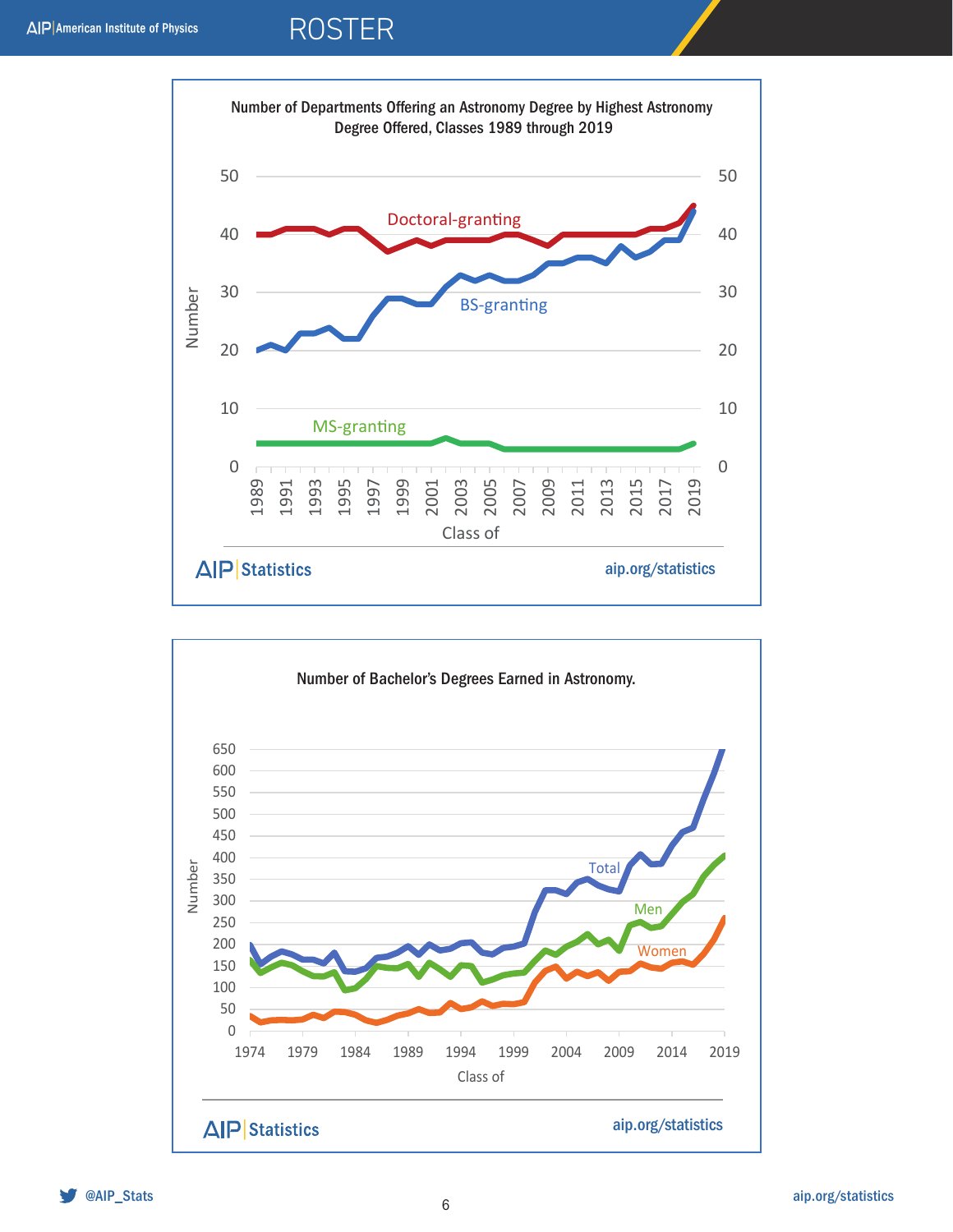

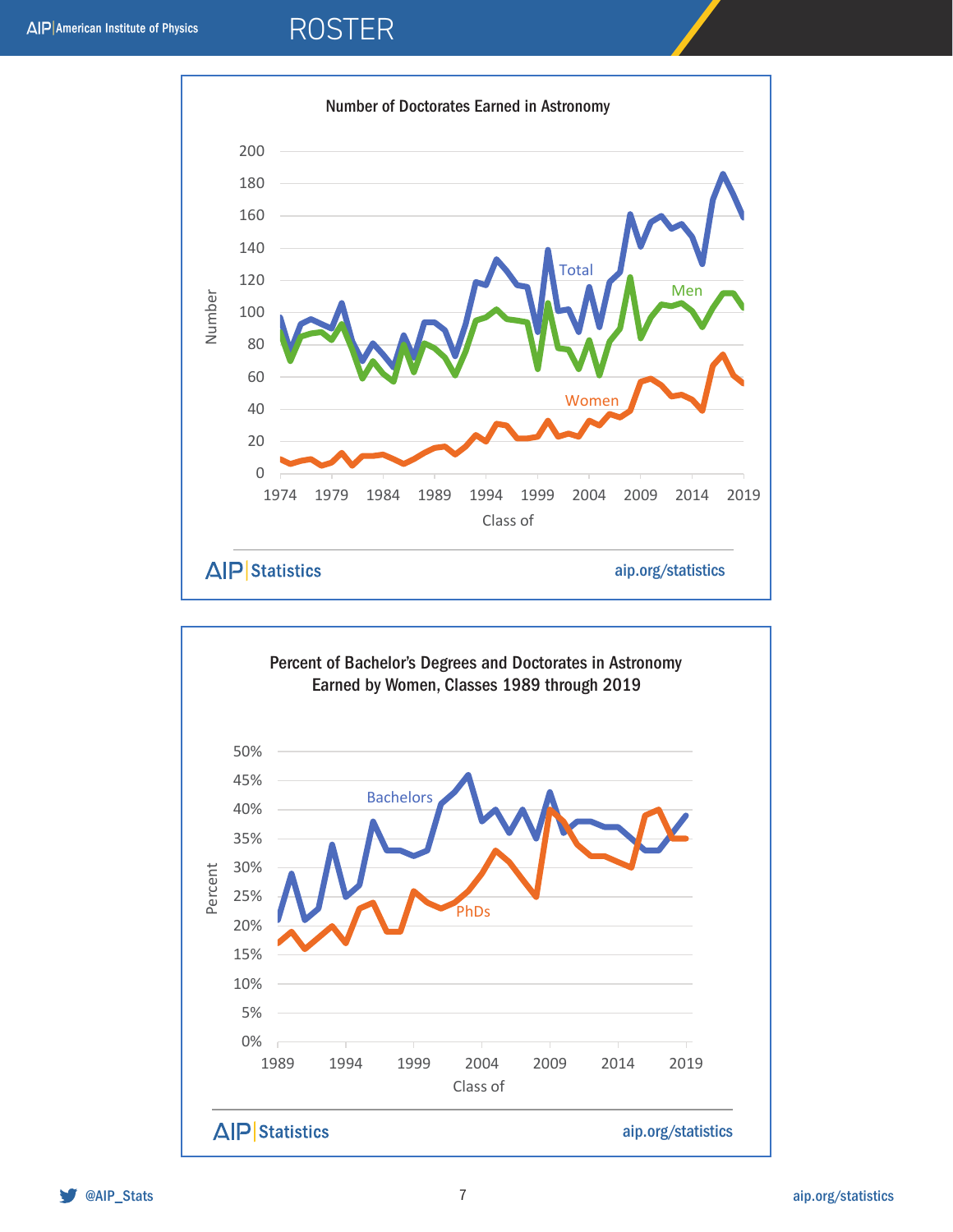